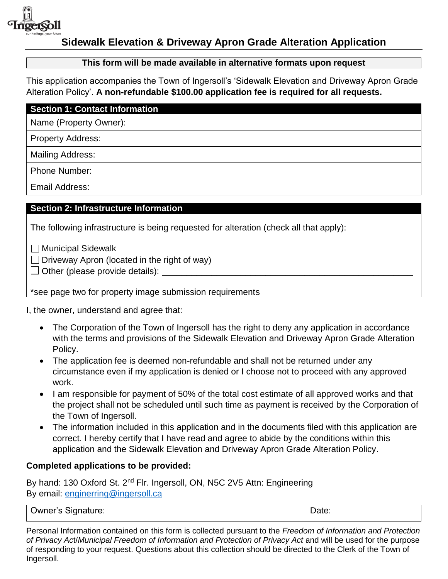

#### **Sidewalk Elevation & Driveway Apron Grade Alteration Application**

#### **This form will be made available in alternative formats upon request**

This application accompanies the Town of Ingersoll's 'Sidewalk Elevation and Driveway Apron Grade Alteration Policy'. **A non-refundable \$100.00 application fee is required for all requests.**

| <b>Section 1: Contact Information</b> |  |  |
|---------------------------------------|--|--|
| Name (Property Owner):                |  |  |
| <b>Property Address:</b>              |  |  |
| <b>Mailing Address:</b>               |  |  |
| <b>Phone Number:</b>                  |  |  |
| <b>Email Address:</b>                 |  |  |

#### **Section 2: Infrastructure Information**

The following infrastructure is being requested for alteration (check all that apply):

☐ Municipal Sidewalk

 $\Box$  Driveway Apron (located in the right of way)

 $\Box$  Other (please provide details):

\*see page two for property image submission requirements

I, the owner, understand and agree that:

- The Corporation of the Town of Ingersoll has the right to deny any application in accordance with the terms and provisions of the Sidewalk Elevation and Driveway Apron Grade Alteration Policy.
- The application fee is deemed non-refundable and shall not be returned under any circumstance even if my application is denied or I choose not to proceed with any approved work.
- I am responsible for payment of 50% of the total cost estimate of all approved works and that the project shall not be scheduled until such time as payment is received by the Corporation of the Town of Ingersoll.
- The information included in this application and in the documents filed with this application are correct. I hereby certify that I have read and agree to abide by the conditions within this application and the Sidewalk Elevation and Driveway Apron Grade Alteration Policy.

#### **Completed applications to be provided:**

By hand: 130 Oxford St. 2<sup>nd</sup> Flr. Ingersoll, ON, N5C 2V5 Attn: Engineering By email: [enginerring@ingersoll.ca](mailto:enginerring@ingersoll.ca)

| ignature:<br>Jwner′s<br>ו זור<br>.<br>______<br>. . | $\sim$<br><br>ww<br>. |
|-----------------------------------------------------|-----------------------|
|                                                     |                       |

Personal Information contained on this form is collected pursuant to the *Freedom of Information and Protection of Privacy Ac*t/*Municipal Freedom of Information and Protection of Privacy Act* and will be used for the purpose of responding to your request. Questions about this collection should be directed to the Clerk of the Town of Ingersoll.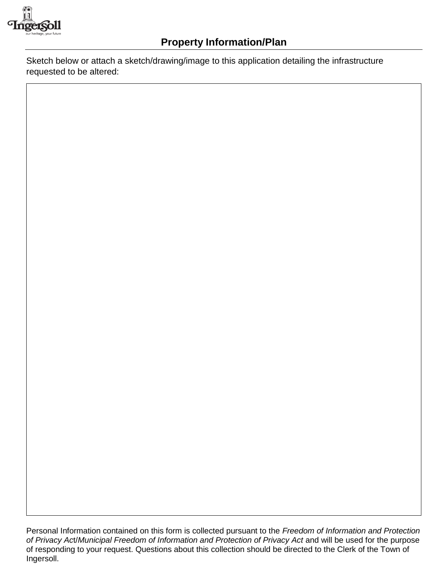

Sketch below or attach a sketch/drawing/image to this application detailing the infrastructure requested to be altered:

Personal Information contained on this form is collected pursuant to the *Freedom of Information and Protection of Privacy Ac*t/*Municipal Freedom of Information and Protection of Privacy Act* and will be used for the purpose of responding to your request. Questions about this collection should be directed to the Clerk of the Town of Ingersoll.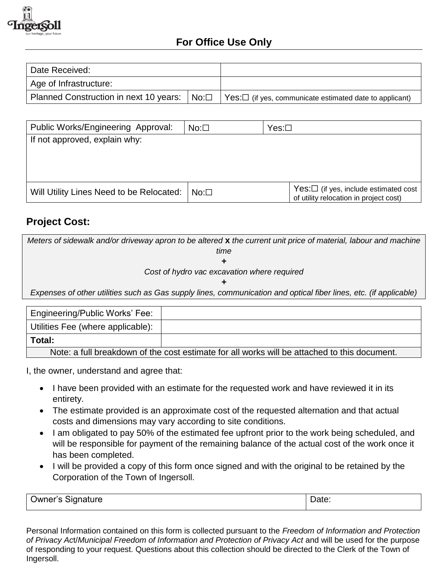

# **For Office Use Only**

| Date Received:         |                                                                                                                   |
|------------------------|-------------------------------------------------------------------------------------------------------------------|
| Age of Infrastructure: |                                                                                                                   |
|                        | Planned Construction in next 10 years: $  No: \Box   Yes: \Box$ (if yes, communicate estimated date to applicant) |

| Public Works/Engineering Approval:       | $No: \Box$ | $Yes: \Box$                                                                           |  |  |  |  |
|------------------------------------------|------------|---------------------------------------------------------------------------------------|--|--|--|--|
| If not approved, explain why:            |            |                                                                                       |  |  |  |  |
|                                          |            |                                                                                       |  |  |  |  |
|                                          |            |                                                                                       |  |  |  |  |
|                                          |            |                                                                                       |  |  |  |  |
| Will Utility Lines Need to be Relocated: | $No: \Box$ | $Yes: \Box$ (if yes, include estimated cost<br>of utility relocation in project cost) |  |  |  |  |

# **Project Cost:**

*Meters of sidewalk and/or driveway apron to be altered* **x** *the current unit price of material, labour and machine time + Cost of hydro vac excavation where required + Expenses of other utilities such as Gas supply lines, communication and optical fiber lines, etc. (if applicable)* 

| Engineering/Public Works' Fee:                                                               |  |  |
|----------------------------------------------------------------------------------------------|--|--|
| Utilities Fee (where applicable):                                                            |  |  |
| Total:                                                                                       |  |  |
| Note: a full breakdown of the cost estimate for all works will be attached to this document. |  |  |

I, the owner, understand and agree that:

- I have been provided with an estimate for the requested work and have reviewed it in its entirety.
- The estimate provided is an approximate cost of the requested alternation and that actual costs and dimensions may vary according to site conditions.
- I am obligated to pay 50% of the estimated fee upfront prior to the work being scheduled, and will be responsible for payment of the remaining balance of the actual cost of the work once it has been completed.
- I will be provided a copy of this form once signed and with the original to be retained by the Corporation of the Town of Ingersoll.

| $\sim$                   | Date |
|--------------------------|------|
| <b>Owner's Signature</b> | .    |
|                          |      |

Personal Information contained on this form is collected pursuant to the *Freedom of Information and Protection of Privacy Ac*t/*Municipal Freedom of Information and Protection of Privacy Act* and will be used for the purpose of responding to your request. Questions about this collection should be directed to the Clerk of the Town of Ingersoll.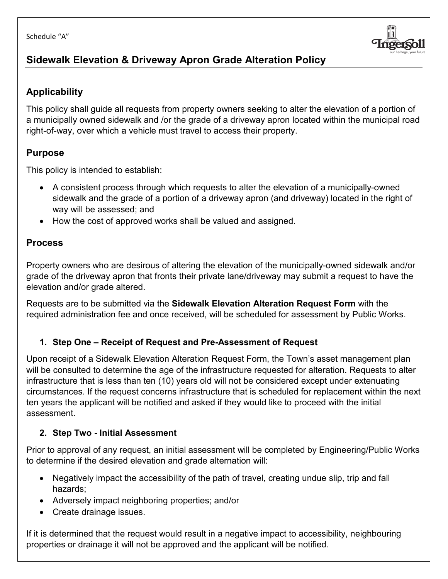

# **Sidewalk Elevation & Driveway Apron Grade Alteration Policy**

### **Applicability**

This policy shall guide all requests from property owners seeking to alter the elevation of a portion of a municipally owned sidewalk and /or the grade of a driveway apron located within the municipal road right-of-way, over which a vehicle must travel to access their property.

### **Purpose**

This policy is intended to establish:

- A consistent process through which requests to alter the elevation of a municipally-owned sidewalk and the grade of a portion of a driveway apron (and driveway) located in the right of way will be assessed; and
- How the cost of approved works shall be valued and assigned.

### **Process**

Property owners who are desirous of altering the elevation of the municipally-owned sidewalk and/or grade of the driveway apron that fronts their private lane/driveway may submit a request to have the elevation and/or grade altered.

Requests are to be submitted via the **Sidewalk Elevation Alteration Request Form** with the required administration fee and once received, will be scheduled for assessment by Public Works.

# **1. Step One – Receipt of Request and Pre-Assessment of Request**

Upon receipt of a Sidewalk Elevation Alteration Request Form, the Town's asset management plan will be consulted to determine the age of the infrastructure requested for alteration. Requests to alter infrastructure that is less than ten (10) years old will not be considered except under extenuating circumstances. If the request concerns infrastructure that is scheduled for replacement within the next ten years the applicant will be notified and asked if they would like to proceed with the initial assessment.

### **2. Step Two - Initial Assessment**

Prior to approval of any request, an initial assessment will be completed by Engineering/Public Works to determine if the desired elevation and grade alternation will:

- Negatively impact the accessibility of the path of travel, creating undue slip, trip and fall hazards;
- Adversely impact neighboring properties; and/or
- Create drainage issues.

If it is determined that the request would result in a negative impact to accessibility, neighbouring properties or drainage it will not be approved and the applicant will be notified.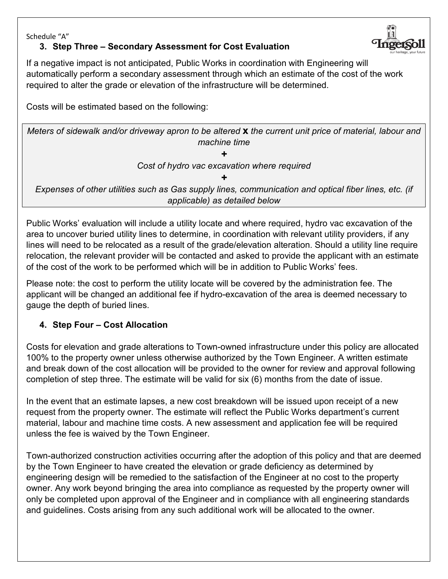Schedule "A"

#### **3. Step Three – Secondary Assessment for Cost Evaluation**

If a negative impact is not anticipated, Public Works in coordination with Engineering will automatically perform a secondary assessment through which an estimate of the cost of the work required to alter the grade or elevation of the infrastructure will be determined.

Costs will be estimated based on the following:

*Meters of sidewalk and/or driveway apron to be altered* **x** *the current unit price of material, labour and machine time*

*+ Cost of hydro vac excavation where required*

*+ Expenses of other utilities such as Gas supply lines, communication and optical fiber lines, etc. (if applicable) as detailed below*

Public Works' evaluation will include a utility locate and where required, hydro vac excavation of the area to uncover buried utility lines to determine, in coordination with relevant utility providers, if any lines will need to be relocated as a result of the grade/elevation alteration. Should a utility line require relocation, the relevant provider will be contacted and asked to provide the applicant with an estimate of the cost of the work to be performed which will be in addition to Public Works' fees.

Please note: the cost to perform the utility locate will be covered by the administration fee. The applicant will be changed an additional fee if hydro-excavation of the area is deemed necessary to gauge the depth of buried lines.

#### **4. Step Four – Cost Allocation**

Costs for elevation and grade alterations to Town-owned infrastructure under this policy are allocated 100% to the property owner unless otherwise authorized by the Town Engineer. A written estimate and break down of the cost allocation will be provided to the owner for review and approval following completion of step three. The estimate will be valid for six (6) months from the date of issue.

In the event that an estimate lapses, a new cost breakdown will be issued upon receipt of a new request from the property owner. The estimate will reflect the Public Works department's current material, labour and machine time costs. A new assessment and application fee will be required unless the fee is waived by the Town Engineer.

Town-authorized construction activities occurring after the adoption of this policy and that are deemed by the Town Engineer to have created the elevation or grade deficiency as determined by engineering design will be remedied to the satisfaction of the Engineer at no cost to the property owner. Any work beyond bringing the area into compliance as requested by the property owner will only be completed upon approval of the Engineer and in compliance with all engineering standards and guidelines. Costs arising from any such additional work will be allocated to the owner.